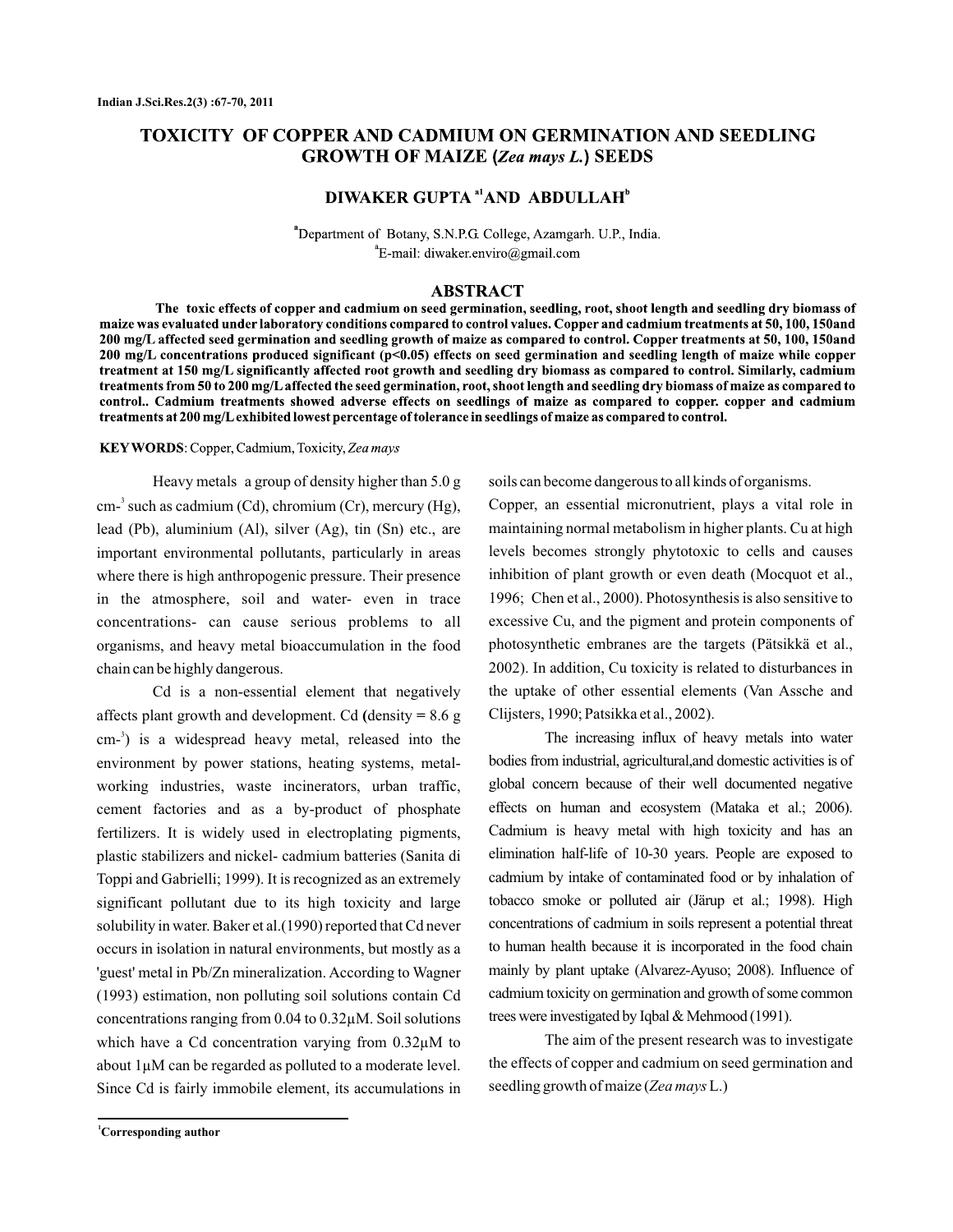# **TOXICITY OF COPPER AND CADMIUM ON GERMINATION AND SEEDLING GROWTH OF MAIZE (Zea mays L.) SEEDS**

# DIWAKER GUPTA <sup>a1</sup>AND ABDULLAH<sup>b</sup>

<sup>a</sup>Department of Botany, S.N.P.G. College, Azamgarh. U.P., India.  ${}^{\circ}$ E-mail: diwaker.enviro@gmail.com

## **ABSTRACT**

The toxic effects of copper and cadmium on seed germination, seedling, root, shoot length and seedling dry biomass of maize was evaluated under laboratory conditions compared to control values. Copper and cadmium treatments at 50, 100, 150and 200 mg/L affected seed germination and seedling growth of maize as compared to control. Copper treatments at 50, 100, 150and 200 mg/L concentrations produced significant (p<0.05) effects on seed germination and seedling length of maize while copper treatment at 150 mg/L significantly affected root growth and seedling dry biomass as compared to control. Similarly, cadmium treatments from 50 to 200 mg/L affected the seed germination, root, shoot length and seedling dry biomass of maize as compared to control. Cadmium treatments showed adverse effects on seedlings of maize as compared to copper. copper and cadmium treatments at 200 mg/L exhibited lowest percentage of tolerance in seedlings of maize as compared to control.

#### KEY WORDS: Copper, Cadmium, Toxicity, Zea mays

Heavy metals a group of density higher than 5.0 g  $\text{cm}^3$  such as cadmium (Cd), chromium (Cr), mercury (Hg), lead (Pb), aluminium (Al), silver (Ag), tin (Sn) etc., are important environmental pollutants, particularly in areas where there is high anthropogenic pressure. Their presence in the atmosphere, soil and water- even in trace concentrations- can cause serious problems to all organisms, and heavy metal bioaccumulation in the food chain can be highly dangerous.

Cd is a non-essential element that negatively affects plant growth and development. Cd (density = 8.6 g  $\text{cm}^{-3}$ ) is a widespread heavy metal, released into the environment by power stations, heating systems, metalworking industries, waste incinerators, urban traffic, cement factories and as a by-product of phosphate fertilizers. It is widely used in electroplating pigments, plastic stabilizers and nickel- cadmium batteries (Sanita di Toppi and Gabrielli; 1999). It is recognized as an extremely significant pollutant due to its high toxicity and large solubility in water. Baker et al.(1990) reported that Cd never occurs in isolation in natural environments, but mostly as a 'guest' metal in Pb/Zn mineralization. According to Wagner (1993) estimation, non polluting soil solutions contain Cd concentrations ranging from 0.04 to 0.32µM. Soil solutions which have a Cd concentration varying from  $0.32 \mu M$  to about 1µM can be regarded as polluted to a moderate level. Since Cd is fairly immobile element, its accumulations in soils can become dangerous to all kinds of organisms.

Copper, an essential micronutrient, plays a vital role in maintaining normal metabolism in higher plants. Cu at high levels becomes strongly phytotoxic to cells and causes inhibition of plant growth or even death (Mocquot et al., 1996; Chen et al., 2000). Photosynthesis is also sensitive to excessive Cu, and the pigment and protein components of photosynthetic embranes are the targets (Pätsikkä et al., 2002). In addition, Cu toxicity is related to disturbances in the uptake of other essential elements (Van Assche and Clijsters, 1990; Patsikka et al., 2002).

The increasing influx of heavy metals into water bodies from industrial, agricultural,and domestic activities is of global concern because of their well documented negative effects on human and ecosystem (Mataka et al.; 2006). Cadmium is heavy metal with high toxicity and has an elimination half-life of 10-30 years. People are exposed to cadmium by intake of contaminated food or by inhalation of tobacco smoke or polluted air (Järup et al.; 1998). High concentrations of cadmium in soils represent a potential threat to human health because it is incorporated in the food chain mainly by plant uptake (Alvarez-Ayuso; 2008). Influence of cadmium toxicity on germination and growth of some common trees were investigated by Iqbal & Mehmood (1991).

The aim of the present research was to investigate the effects of copper and cadmium on seed germination and seedling growth of maize (Zea mays L.)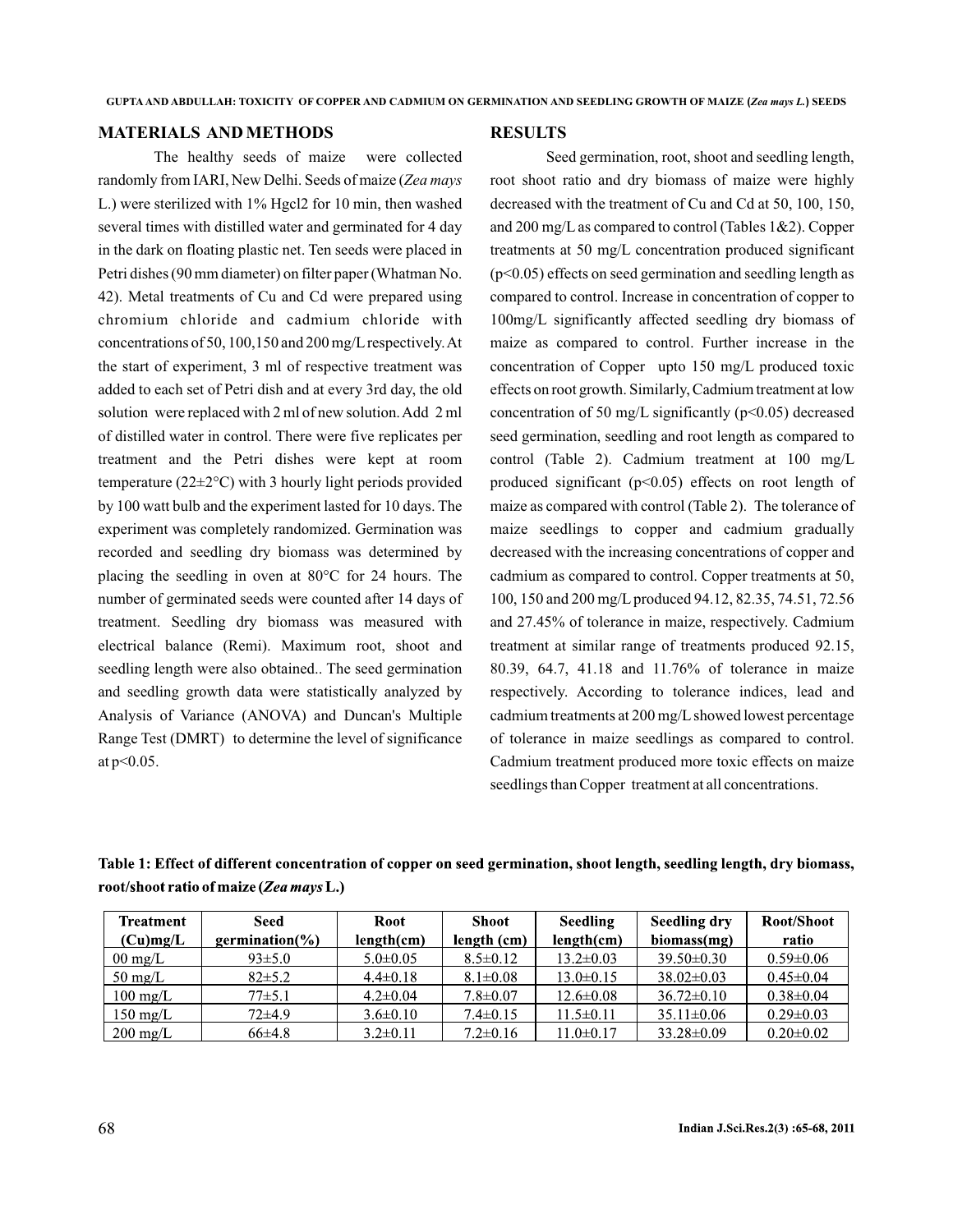# **MATERIALS AND METHODS**

The healthy seeds of maize were collected randomly from IARI, New Delhi. Seeds of maize ( *Zea mays* L.) were sterilized with 1% Hgcl2 for 10 min, then washed several times with distilled water and germinated for 4 day in the dark on floating plastic net. Ten seeds were placed in Petri dishes (90 mm diameter) on filter paper (Whatman No. 42). Metal treatments of Cu and Cd were prepared using chromium chloride and cadmium chloride with concentrations of 50, 100,150 and 200 mg/L respectively.At the start of experiment, 3 ml of respective treatment was added to each set of Petri dish and at every 3rd day, the old solution were replaced with 2 ml of new solution.Add 2 ml of distilled water in control. There were five replicates per treatment and the Petri dishes were kept at room temperature ( $22 \pm 2$ °C) with 3 hourly light periods provided by 100 watt bulb and the experiment lasted for 10 days. The experiment was completely randomized. Germination was recorded and seedling dry biomass was determined by placing the seedling in oven at 80°C for 24 hours. The number of germinated seeds were counted after 14 days of treatment. Seedling dry biomass was measured with electrical balance (Remi). Maximum root, shoot and seedling length were also obtained.. The seed germination and seedling growth data were statistically analyzed by Analysis of Variance (ANOVA) and Duncan's Multiple Range Test (DMRT) to determine the level of significance at p<0.05.

#### **RESULTS**

Seed germination, root, shoot and seedling length, root shoot ratio and dry biomass of maize were highly decreased with the treatment of Cu and Cd at 50, 100, 150, and 200 mg/L as compared to control (Tables 1&2). Copper treatments at 50 mg/L concentration produced significant (p<0.05) effects on seed germination and seedling length as compared to control. Increase in concentration of copper to 100mg/L significantly affected seedling dry biomass of maize as compared to control. Further increase in the concentration of Copper upto 150 mg/L produced toxic effects on root growth. Similarly, Cadmium treatment at low concentration of 50 mg/L significantly  $(p<0.05)$  decreased seed germination, seedling and root length as compared to control (Table 2). Cadmium treatment at 100 mg/L produced significant  $(p<0.05)$  effects on root length of maize as compared with control (Table 2). The tolerance of maize seedlings to copper and cadmium gradually decreased with the increasing concentrations of copper and cadmium as compared to control. Copper treatments at 50, 100, 150 and 200 mg/L produced 94.12, 82.35, 74.51, 72.56 and 27.45% of tolerance in maize, respectively. Cadmium treatment at similar range of treatments produced 92.15, 80.39, 64.7, 41.18 and 11.76% of tolerance in maize respectively. According to tolerance indices, lead and cadmium treatments at 200 mg/L showed lowest percentage of tolerance in maize seedlings as compared to control. Cadmium treatment produced more toxic effects on maize seedlings than Copper treatment at all concentrations.

| Table 1: Effect of different concentration of copper on seed germination, shoot length, seedling length, dry biomass, |  |        |      |     |      |  |  |  |  |
|-----------------------------------------------------------------------------------------------------------------------|--|--------|------|-----|------|--|--|--|--|
| root/shoot ratio of maize (Zea mays L.)                                                                               |  |        |      |     |      |  |  |  |  |
|                                                                                                                       |  | $\sim$ | ____ | ___ | ---- |  |  |  |  |

| Treatment          | Seed                | Root           | Shoot          | <b>Seedling</b> | Seedling dry     | Root/Shoot      |
|--------------------|---------------------|----------------|----------------|-----------------|------------------|-----------------|
| (Cu)mg/L           | germination( $\%$ ) |                | length (cm)    | length(cm)      | biomass(mg)      | ratio           |
| $00 \text{ mg/L}$  | $93\pm5.0$          | $5.0 \pm 0.05$ | $8.5 \pm 0.12$ | $13.2 \pm 0.03$ | $39.50 \pm 0.30$ | $0.59 \pm 0.06$ |
| $50 \text{ mg/L}$  | $82\pm5.2$          | $4.4 \pm 0.18$ | $8.1 \pm 0.08$ | $13.0 \pm 0.15$ | $38.02 \pm 0.03$ | $0.45 \pm 0.04$ |
| $100 \text{ mg/L}$ | 77±5.1              | $4.2 \pm 0.04$ | $7.8 \pm 0.07$ | $12.6 \pm 0.08$ | $36.72 \pm 0.10$ | $0.38 \pm 0.04$ |
| $150 \text{ mg/L}$ | $72\pm4.9$          | $3.6 \pm 0.10$ | $7.4 \pm 0.15$ | $11.5 \pm 0.11$ | $35.11 \pm 0.06$ | $0.29 \pm 0.03$ |
| $200 \text{ mg/L}$ | $66\pm4.8$          | $3.2\pm0.11$   | $7.2 \pm 0.16$ | 11.0±0.17       | $33.28 \pm 0.09$ | $0.20 \pm 0.02$ |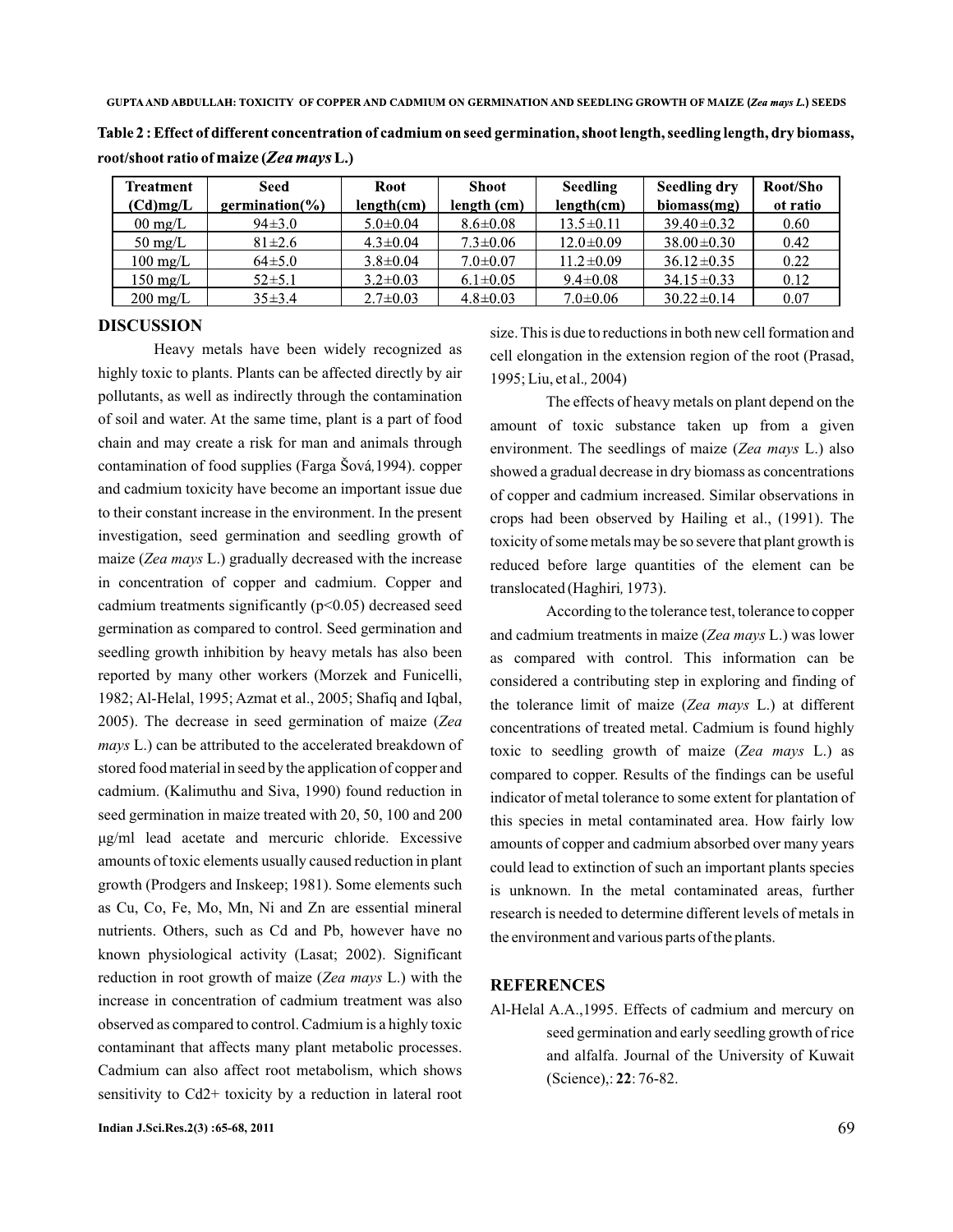GUPTA AND ABDULLAH: TOXICITY OF COPPER AND CADMIUM ON GERMINATION AND SEEDLING GROWTH OF MAIZE (Zea mays L.) SEEDS

Table 2 : Effect of different concentration of cadmium on seed germination, shoot length, seedling length, dry biomass, root/shoot ratio of maize (Zea mays L.)

| <b>Treatment</b>   | Seed                | <b>Root</b>    | <b>Shoot</b>   | Seedling        | Seedling dry     | Root/Sho |
|--------------------|---------------------|----------------|----------------|-----------------|------------------|----------|
| $(Cd)$ mg/L        | germination( $\%$ ) | length(cm)     | length (cm)    | length(cm)      | biomass(mg)      | ot ratio |
| $00 \text{ mg/L}$  | $94\pm3.0$          | $5.0 \pm 0.04$ | $8.6 \pm 0.08$ | $13.5 \pm 0.11$ | $39.40 \pm 0.32$ | 0.60     |
| $50 \text{ mg/L}$  | $81 \pm 2.6$        | $4.3 \pm 0.04$ | $7.3 \pm 0.06$ | $12.0 \pm 0.09$ | $38.00 \pm 0.30$ | 0.42     |
| $100 \text{ mg/L}$ | $64\pm5.0$          | $3.8 \pm 0.04$ | $7.0 \pm 0.07$ | $11.2 \pm 0.09$ | $36.12 \pm 0.35$ | 0.22     |
| $150 \text{ mg/L}$ | $52\pm5.1$          | $3.2 \pm 0.03$ | $6.1 \pm 0.05$ | $9.4 \pm 0.08$  | $34.15 \pm 0.33$ | 0.12     |
| $200 \text{ mg/L}$ | $35\pm3.4$          | $2.7 \pm 0.03$ | $4.8 \pm 0.03$ | $7.0 \pm 0.06$  | $30.22 \pm 0.14$ | 0.07     |

#### **DISCUSSION**

*,* contamination of food supplies (Farga Šová 1994). copper maize (Zea mays L.) gradually decreased with the increase 2005). The decrease in seed germination of maize (Zea *mays* L.) can be attributed to the accelerated breakdown of reduction in root growth of maize (Zea mays L.) with the Heavy metals have been widely recognized as highly toxic to plants. Plants can be affected directly by air pollutants, as well as indirectly through the contamination of soil and water. At the same time, plant is a part of food chain and may create a risk for man and animals through and cadmium toxicity have become an important issue due to their constant increase in the environment. In the present investigation, seed germination and seedling growth of in concentration of copper and cadmium. Copper and cadmium treatments significantly  $(p<0.05)$  decreased seed germination as compared to control. Seed germination and seedling growth inhibition by heavy metals has also been reported by many other workers (Morzek and Funicelli, 1982; Al-Helal, 1995; Azmat et al., 2005; Shafiq and Iqbal, stored food material in seed by the application of copper and cadmium. (Kalimuthu and Siva, 1990) found reduction in seed germination in maize treated with 20, 50, 100 and 200 growth (Prodgers and Inskeep; 1981). Some elements such as Cu, Co, Fe, Mo, Mn, Ni and Zn are essential mineral nutrients. Others, such as Cd and Pb, however have no known physiological activity (Lasat; 2002). Significant increase in concentration of cadmium treatment was also observed as compared to control. Cadmium is a highly toxic contaminant that affects many plant metabolic processes. Cadmium can also affect root metabolism, which shows sensitivity to Cd2+ toxicity by a reduction in lateral root μg/ml lead acetate and mercuric chloride. Excessive amounts of toxic elements usually caused reduction in plant size. This is due to reductions in both new cell formation and cell elongation in the extension region of the root (Prasad, 1995; Liu, et al., 2004)

The effects of heavy metals on plant depend on the amount of toxic substance taken up from a given environment. The seedlings of maize (Zea mays L.) also showed a gradual decrease in dry biomass as concentrations of copper and cadmium increased. Similar observations in crops had been observed by Hailing et al., (1991). The toxicity of some metals may be so severe that plant growth is reduced before large quantities of the element can be translocated (Haghiri, 1973).

According to the tolerance test, tolerance to copper and cadmium treatments in maize (Zea mays L.) was lower as compared with control. This information can be considered a contributing step in exploring and finding of the tolerance limit of maize (Zea mays L.) at different concentrations of treated metal. Cadmium is found highly toxic to seedling growth of maize (Zea mays L.) as compared to copper. Results of the findings can be useful indicator of metal tolerance to some extent for plantation of this species in metal contaminated area. How fairly low amounts of copper and cadmium absorbed over many years could lead to extinction of such an important plants species is unknown. In the metal contaminated areas, further research is needed to determine different levels of metals in the environment and various parts of the plants.

# **REFERENCES**

Al-Helal A.A.,1995. Effects of cadmium and mercury on seed germination and early seedling growth of rice and alfalfa. Journal of the University of Kuwait (Science),: 22: 76-82.